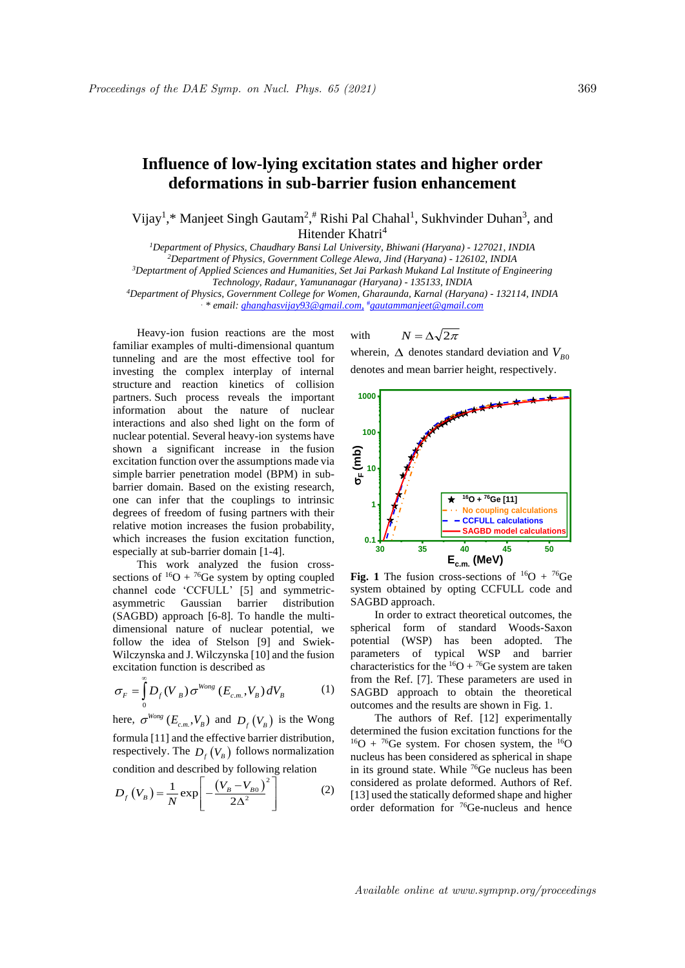## **Influence of low-lying excitation states and higher order deformations in sub-barrier fusion enhancement**

Vijay<sup>1</sup>,\* Manjeet Singh Gautam<sup>2</sup>,<sup>#</sup> Rishi Pal Chahal<sup>1</sup>, Sukhvinder Duhan<sup>3</sup>, and Hitender Khatri<sup>4</sup>

*Department of Physics, Chaudhary Bansi Lal University, Bhiwani (Haryana) - 127021, INDIA Department of Physics, Government College Alewa, Jind (Haryana) - 126102, INDIA Deptartment of Applied Sciences and Humanities, Set Jai Parkash Mukand Lal Institute of Engineering Technology, Radaur, Yamunanagar (Haryana) - 135133, INDIA*

*<sup>4</sup>Department of Physics, Government College for Women, Gharaunda, Karnal (Haryana) - 132114, INDIA . \* email: ghanghasvijay93@gmail.com,* #*gautammanjeet@gmail.com*

Heavy-ion fusion reactions are the most familiar examples of multi-dimensional quantum tunneling and are the most effective tool for investing the complex interplay of internal structure and reaction kinetics of collision partners. Such process reveals the important information about the nature of nuclear interactions and also shed light on the form of nuclear potential. Several heavy-ion systems have shown a significant increase in the fusion excitation function over the assumptions made via simple barrier penetration model (BPM) in subbarrier domain. Based on the existing research, one can infer that the couplings to intrinsic degrees of freedom of fusing partners with their relative motion increases the fusion probability, which increases the fusion excitation function, especially at sub-barrier domain [1-4].

This work analyzed the fusion crosssections of  ${}^{16}O + {}^{76}Ge$  system by opting coupled channel code 'CCFULL' [5] and symmetricasymmetric Gaussian barrier distribution (SAGBD) approach [6-8]. To handle the multidimensional nature of nuclear potential, we follow the idea of Stelson [9] and Swiek-Wilczynska and J. Wilczynska [10] and the fusion excitation function is described as

$$
\sigma_F = \int_0^\infty D_f (V_B) \sigma^{Wong} (E_{c.m.}, V_B) dV_B \tag{1}
$$

here,  $\sigma^{Wong}$  ( $E_{c.m.}$ , $V_B$ ) and  $D_f$  ( $V_B$ ) is the Wong formula [11] and the effective barrier distribution, respectively. The  $D_f(V_B)$  follows normalization

condition and described by following relation  
\n
$$
D_f (V_B) = \frac{1}{N} \exp \left[ -\frac{(V_B - V_{B0})^2}{2\Delta^2} \right]
$$
\n(2)

with  $N = \Delta \sqrt{2\pi}$ 

wherein,  $\Delta$  denotes standard deviation and  $V_{B0}$ denotes and mean barrier height, respectively.



**Fig. 1** The fusion cross-sections of  ${}^{16}O + {}^{76}Ge$ system obtained by opting CCFULL code and SAGBD approach.

In order to extract theoretical outcomes, the spherical form of standard Woods-Saxon potential (WSP) has been adopted. The parameters of typical WSP and barrier characteristics for the  ${}^{16}O + {}^{76}Ge$  system are taken from the Ref. [7]. These parameters are used in SAGBD approach to obtain the theoretical outcomes and the results are shown in Fig. 1.

The authors of Ref. [12] experimentally determined the fusion excitation functions for the  $16O + 76Ge$  system. For chosen system, the  $16O$ nucleus has been considered as spherical in shape in its ground state. While <sup>76</sup>Ge nucleus has been considered as prolate deformed. Authors of Ref. [13] used the statically deformed shape and higher order deformation for <sup>76</sup>Ge-nucleus and hence